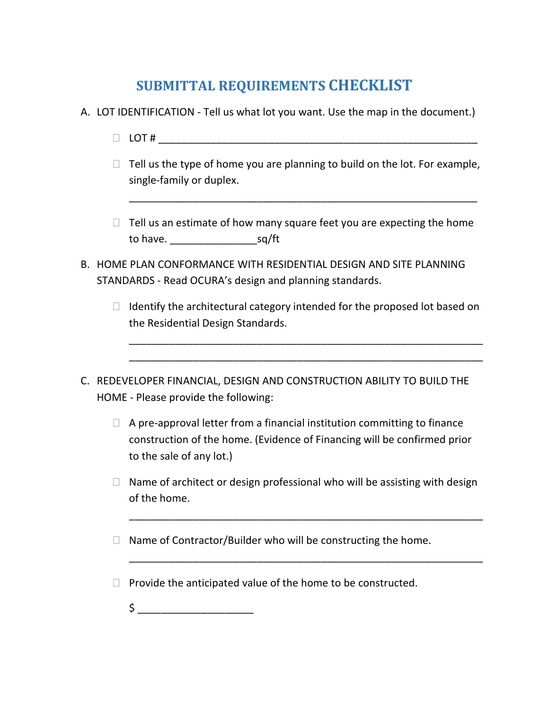## **SUBMITTAL REQUIREMENTS CHECKLIST**

- A. LOT IDENTIFICATION Tell us what lot you want. Use the map in the document.)
	- LOT # \_\_\_\_\_\_\_\_\_\_\_\_\_\_\_\_\_\_\_\_\_\_\_\_\_\_\_\_\_\_\_\_\_\_\_\_\_\_\_\_\_\_\_\_\_\_\_\_\_\_\_\_\_\_\_
	- $\Box$  Tell us the type of home you are planning to build on the lot. For example, single-family or duplex.

\_\_\_\_\_\_\_\_\_\_\_\_\_\_\_\_\_\_\_\_\_\_\_\_\_\_\_\_\_\_\_\_\_\_\_\_\_\_\_\_\_\_\_\_\_\_\_\_\_\_\_\_\_\_\_\_\_\_\_\_

- $\Box$  Tell us an estimate of how many square feet you are expecting the home to have. sq/ft
- B. HOME PLAN CONFORMANCE WITH RESIDENTIAL DESIGN AND SITE PLANNING STANDARDS - Read OCURA's design and planning standards.
	- $\Box$  Identify the architectural category intended for the proposed lot based on the Residential Design Standards.

\_\_\_\_\_\_\_\_\_\_\_\_\_\_\_\_\_\_\_\_\_\_\_\_\_\_\_\_\_\_\_\_\_\_\_\_\_\_\_\_\_\_\_\_\_\_\_\_\_\_\_\_\_\_\_\_\_\_\_\_\_ \_\_\_\_\_\_\_\_\_\_\_\_\_\_\_\_\_\_\_\_\_\_\_\_\_\_\_\_\_\_\_\_\_\_\_\_\_\_\_\_\_\_\_\_\_\_\_\_\_\_\_\_\_\_\_\_\_\_\_\_\_

- C. REDEVELOPER FINANCIAL, DESIGN AND CONSTRUCTION ABILITY TO BUILD THE HOME - Please provide the following:
	- $\Box$  A pre-approval letter from a financial institution committing to finance construction of the home. (Evidence of Financing will be confirmed prior to the sale of any lot.)
	- $\Box$  Name of architect or design professional who will be assisting with design of the home.

\_\_\_\_\_\_\_\_\_\_\_\_\_\_\_\_\_\_\_\_\_\_\_\_\_\_\_\_\_\_\_\_\_\_\_\_\_\_\_\_\_\_\_\_\_\_\_\_\_\_\_\_\_\_\_\_\_\_\_\_\_

\_\_\_\_\_\_\_\_\_\_\_\_\_\_\_\_\_\_\_\_\_\_\_\_\_\_\_\_\_\_\_\_\_\_\_\_\_\_\_\_\_\_\_\_\_\_\_\_\_\_\_\_\_\_\_\_\_\_\_\_\_

- $\Box$  Name of Contractor/Builder who will be constructing the home.
- $\Box$  Provide the anticipated value of the home to be constructed.
	- $\sharp$